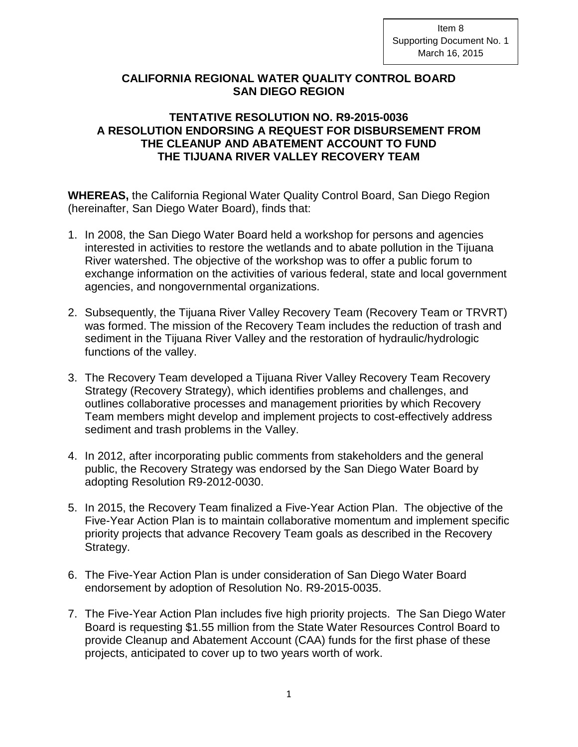## **CALIFORNIA REGIONAL WATER QUALITY CONTROL BOARD SAN DIEGO REGION**

## **TENTATIVE RESOLUTION NO. R9-2015-0036 A RESOLUTION ENDORSING A REQUEST FOR DISBURSEMENT FROM THE CLEANUP AND ABATEMENT ACCOUNT TO FUND THE TIJUANA RIVER VALLEY RECOVERY TEAM**

**WHEREAS,** the California Regional Water Quality Control Board, San Diego Region (hereinafter, San Diego Water Board), finds that:

- 1. In 2008, the San Diego Water Board held a workshop for persons and agencies interested in activities to restore the wetlands and to abate pollution in the Tijuana River watershed. The objective of the workshop was to offer a public forum to exchange information on the activities of various federal, state and local government agencies, and nongovernmental organizations.
- 2. Subsequently, the Tijuana River Valley Recovery Team (Recovery Team or TRVRT) was formed. The mission of the Recovery Team includes the reduction of trash and sediment in the Tijuana River Valley and the restoration of hydraulic/hydrologic functions of the valley.
- 3. The Recovery Team developed a Tijuana River Valley Recovery Team Recovery Strategy (Recovery Strategy), which identifies problems and challenges, and outlines collaborative processes and management priorities by which Recovery Team members might develop and implement projects to cost-effectively address sediment and trash problems in the Valley.
- 4. In 2012, after incorporating public comments from stakeholders and the general public, the Recovery Strategy was endorsed by the San Diego Water Board by adopting Resolution R9-2012-0030.
- 5. In 2015, the Recovery Team finalized a Five-Year Action Plan. The objective of the Five-Year Action Plan is to maintain collaborative momentum and implement specific priority projects that advance Recovery Team goals as described in the Recovery Strategy.
- 6. The Five-Year Action Plan is under consideration of San Diego Water Board endorsement by adoption of Resolution No. R9-2015-0035.
- 7. The Five-Year Action Plan includes five high priority projects. The San Diego Water Board is requesting \$1.55 million from the State Water Resources Control Board to provide Cleanup and Abatement Account (CAA) funds for the first phase of these projects, anticipated to cover up to two years worth of work.